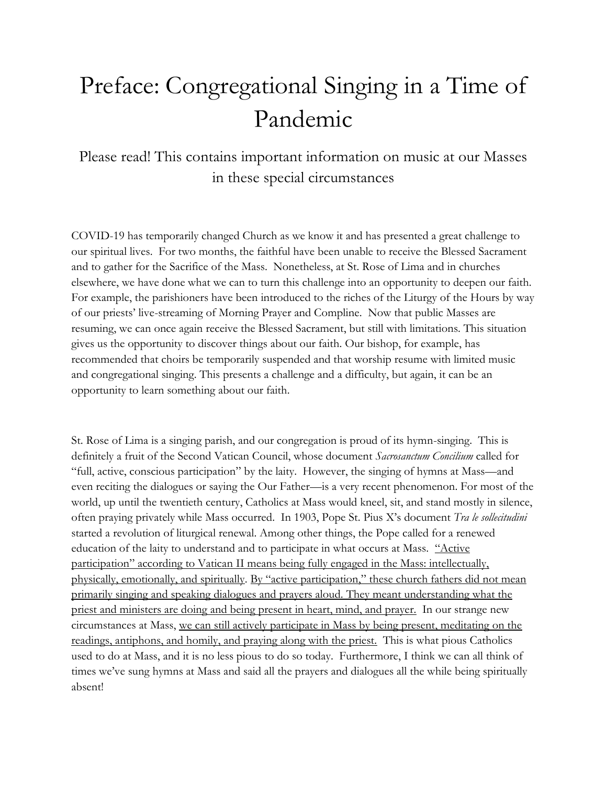## Preface: Congregational Singing in a Time of Pandemic

Please read! This contains important information on music at our Masses in these special circumstances

COVID-19 has temporarily changed Church as we know it and has presented a great challenge to our spiritual lives. For two months, the faithful have been unable to receive the Blessed Sacrament and to gather for the Sacrifice of the Mass. Nonetheless, at St. Rose of Lima and in churches elsewhere, we have done what we can to turn this challenge into an opportunity to deepen our faith. For example, the parishioners have been introduced to the riches of the Liturgy of the Hours by way of our priests' live-streaming of Morning Prayer and Compline. Now that public Masses are resuming, we can once again receive the Blessed Sacrament, but still with limitations. This situation gives us the opportunity to discover things about our faith. Our bishop, for example, has recommended that choirs be temporarily suspended and that worship resume with limited music and congregational singing. This presents a challenge and a difficulty, but again, it can be an opportunity to learn something about our faith.

St. Rose of Lima is a singing parish, and our congregation is proud of its hymn-singing. This is definitely a fruit of the Second Vatican Council, whose document *Sacrosanctum Concilium* called for "full, active, conscious participation" by the laity. However, the singing of hymns at Mass—and even reciting the dialogues or saying the Our Father—is a very recent phenomenon. For most of the world, up until the twentieth century, Catholics at Mass would kneel, sit, and stand mostly in silence, often praying privately while Mass occurred. In 1903, Pope St. Pius X's document *Tra le sollecitudini* started a revolution of liturgical renewal. Among other things, the Pope called for a renewed education of the laity to understand and to participate in what occurs at Mass. "Active participation" according to Vatican II means being fully engaged in the Mass: intellectually, physically, emotionally, and spiritually. By "active participation," these church fathers did not mean primarily singing and speaking dialogues and prayers aloud. They meant understanding what the priest and ministers are doing and being present in heart, mind, and prayer. In our strange new circumstances at Mass, we can still actively participate in Mass by being present, meditating on the readings, antiphons, and homily, and praying along with the priest. This is what pious Catholics used to do at Mass, and it is no less pious to do so today. Furthermore, I think we can all think of times we've sung hymns at Mass and said all the prayers and dialogues all the while being spiritually absent!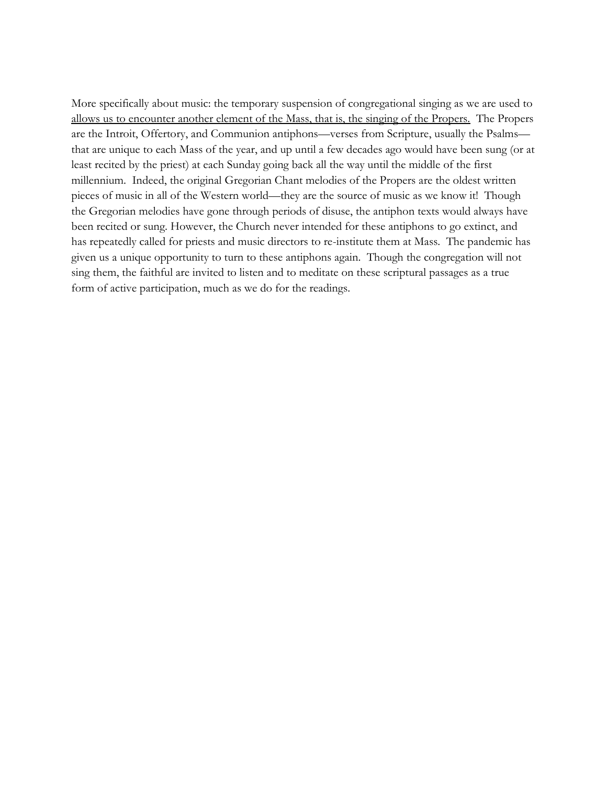More specifically about music: the temporary suspension of congregational singing as we are used to allows us to encounter another element of the Mass, that is, the singing of the Propers. The Propers are the Introit, Offertory, and Communion antiphons—verses from Scripture, usually the Psalms that are unique to each Mass of the year, and up until a few decades ago would have been sung (or at least recited by the priest) at each Sunday going back all the way until the middle of the first millennium. Indeed, the original Gregorian Chant melodies of the Propers are the oldest written pieces of music in all of the Western world—they are the source of music as we know it! Though the Gregorian melodies have gone through periods of disuse, the antiphon texts would always have been recited or sung. However, the Church never intended for these antiphons to go extinct, and has repeatedly called for priests and music directors to re-institute them at Mass. The pandemic has given us a unique opportunity to turn to these antiphons again. Though the congregation will not sing them, the faithful are invited to listen and to meditate on these scriptural passages as a true form of active participation, much as we do for the readings.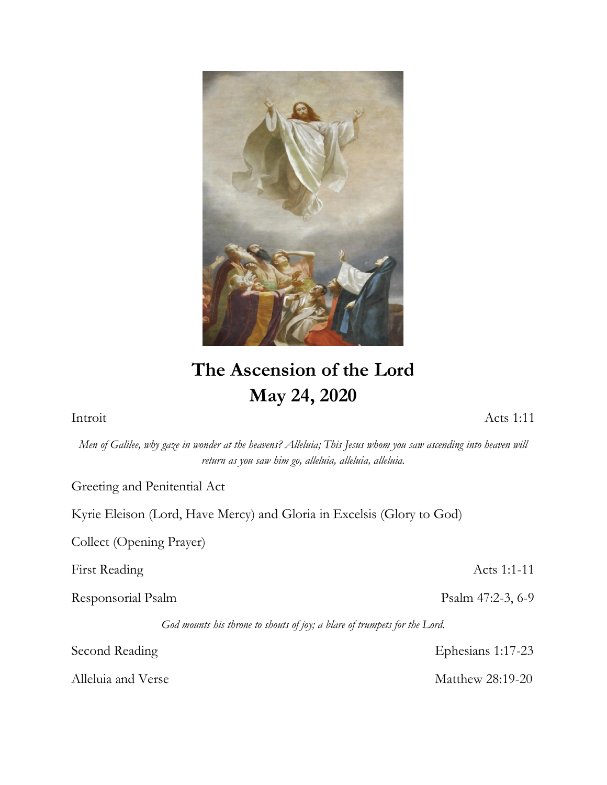

## **The Ascension of the Lord May 24, 2020**

Introit Acts 1:11

*Men of Galilee, why gaze in wonder at the heavens? Alleluia; This Jesus whom you saw ascending into heaven will return as you saw him go, alleluia, alleluia, alleluia.*

Greeting and Penitential Act

Kyrie Eleison (Lord, Have Mercy) and Gloria in Excelsis (Glory to God)

Collect (Opening Prayer)

First Reading Acts 1:1-11

Responsorial Psalm **Psalm 47:2-3, 6-9** 

*God mounts his throne to shouts of joy; a blare of trumpets for the Lord.*

Alleluia and Verse Matthew 28:19-20

Second Reading Ephesians 1:17-23